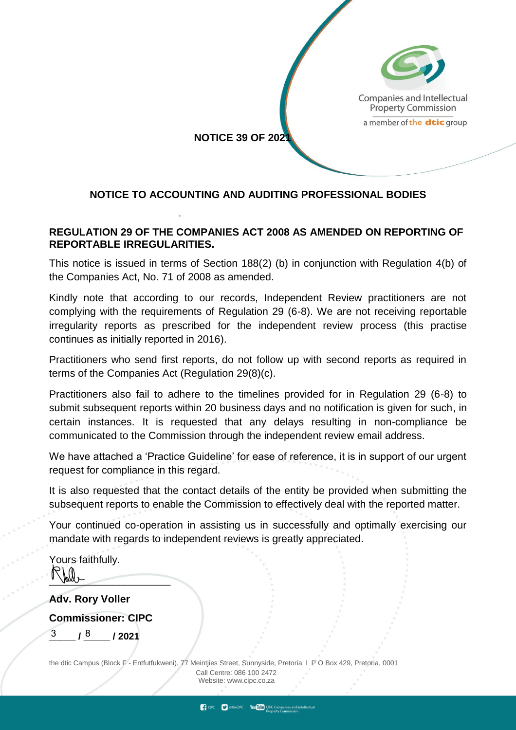

### **NOTICE TO ACCOUNTING AND AUDITING PROFESSIONAL BODIES**

#### **REGULATION 29 OF THE COMPANIES ACT 2008 AS AMENDED ON REPORTING OF REPORTABLE IRREGULARITIES.**

This notice is issued in terms of Section 188(2) (b) in conjunction with Regulation 4(b) of the Companies Act, No. 71 of 2008 as amended.

Kindly note that according to our records, Independent Review practitioners are not complying with the requirements of Regulation 29 (6-8). We are not receiving reportable irregularity reports as prescribed for the independent review process (this practise continues as initially reported in 2016).

Practitioners who send first reports, do not follow up with second reports as required in terms of the Companies Act (Regulation 29(8)(c).

Practitioners also fail to adhere to the timelines provided for in Regulation 29 (6-8) to submit subsequent reports within 20 business days and no notification is given for such, in certain instances. It is requested that any delays resulting in non-compliance be communicated to the Commission through the independent review email address.

We have attached a 'Practice Guideline' for ease of reference, it is in support of our urgent request for compliance in this regard.

It is also requested that the contact details of the entity be provided when submitting the subsequent reports to enable the Commission to effectively deal with the reported matter.

Your continued co-operation in assisting us in successfully and optimally exercising our mandate with regards to independent reviews is greatly appreciated.

Yours faithfully.  $\overline{\phantom{a}}$ 

**Adv. Rory Voller**

**Commissioner: CIPC**

 $3 / 8 / 2021$ 

the dtic Campus (Block F - Entfutfukweni), 77 Meintjies Street, Sunnyside, Pretoria l P O Box 429, Pretoria, 0001 Call Centre: 086 100 2472 Websi[te: www.cipc.co.za](http://www.cipc.co.za/)

CIPC CheCIPC You Tube CIPC Companies and intel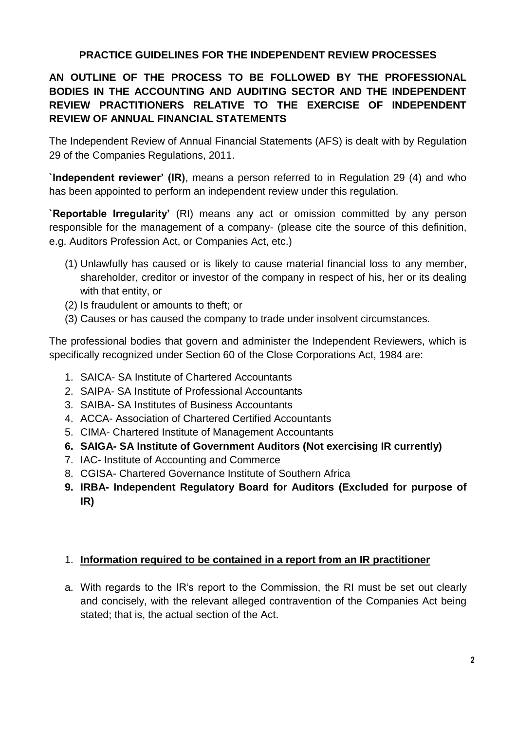## **PRACTICE GUIDELINES FOR THE INDEPENDENT REVIEW PROCESSES**

# **AN OUTLINE OF THE PROCESS TO BE FOLLOWED BY THE PROFESSIONAL BODIES IN THE ACCOUNTING AND AUDITING SECTOR AND THE INDEPENDENT REVIEW PRACTITIONERS RELATIVE TO THE EXERCISE OF INDEPENDENT REVIEW OF ANNUAL FINANCIAL STATEMENTS**

The Independent Review of Annual Financial Statements (AFS) is dealt with by Regulation 29 of the Companies Regulations, 2011.

**`Independent reviewer' (IR)**, means a person referred to in Regulation 29 (4) and who has been appointed to perform an independent review under this regulation.

**`Reportable Irregularity'** (RI) means any act or omission committed by any person responsible for the management of a company- (please cite the source of this definition, e.g. Auditors Profession Act, or Companies Act, etc.)

- (1) Unlawfully has caused or is likely to cause material financial loss to any member, shareholder, creditor or investor of the company in respect of his, her or its dealing with that entity, or
- (2) Is fraudulent or amounts to theft; or
- (3) Causes or has caused the company to trade under insolvent circumstances.

The professional bodies that govern and administer the Independent Reviewers, which is specifically recognized under Section 60 of the Close Corporations Act, 1984 are:

- 1. SAICA- SA Institute of Chartered Accountants
- 2. SAIPA- SA Institute of Professional Accountants
- 3. SAIBA- SA Institutes of Business Accountants
- 4. ACCA- Association of Chartered Certified Accountants
- 5. CIMA- Chartered Institute of Management Accountants
- **6. SAIGA- SA Institute of Government Auditors (Not exercising IR currently)**
- 7. IAC- Institute of Accounting and Commerce
- 8. CGISA- Chartered Governance Institute of Southern Africa
- **9. IRBA- Independent Regulatory Board for Auditors (Excluded for purpose of IR)**

### 1. **Information required to be contained in a report from an IR practitioner**

a. With regards to the IR's report to the Commission, the RI must be set out clearly and concisely, with the relevant alleged contravention of the Companies Act being stated; that is, the actual section of the Act.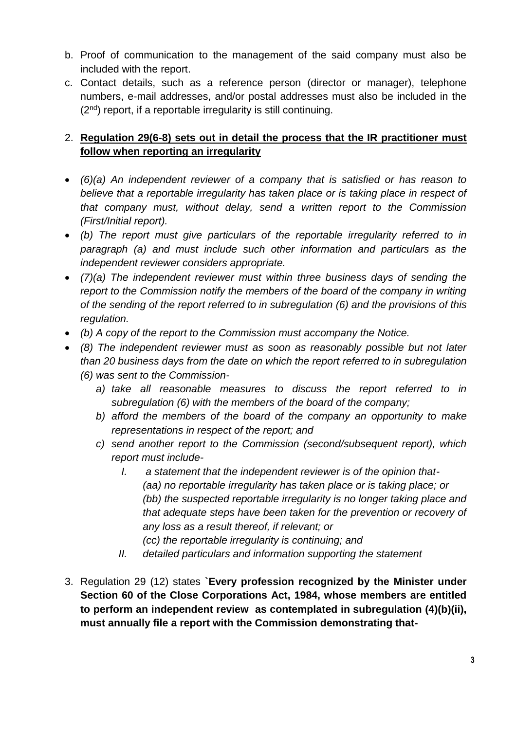- b. Proof of communication to the management of the said company must also be included with the report.
- c. Contact details, such as a reference person (director or manager), telephone numbers, e-mail addresses, and/or postal addresses must also be included in the  $(2<sup>nd</sup>)$  report, if a reportable irregularity is still continuing.

## 2. **Regulation 29(6-8) sets out in detail the process that the IR practitioner must follow when reporting an irregularity**

- *(6)(a) An independent reviewer of a company that is satisfied or has reason to believe that a reportable irregularity has taken place or is taking place in respect of that company must, without delay, send a written report to the Commission (First/Initial report).*
- *(b) The report must give particulars of the reportable irregularity referred to in paragraph (a) and must include such other information and particulars as the independent reviewer considers appropriate.*
- *(7)(a) The independent reviewer must within three business days of sending the report to the Commission notify the members of the board of the company in writing of the sending of the report referred to in subregulation (6) and the provisions of this regulation.*
- *(b) A copy of the report to the Commission must accompany the Notice.*
- *(8) The independent reviewer must as soon as reasonably possible but not later than 20 business days from the date on which the report referred to in subregulation (6) was sent to the Commission*
	- *a) take all reasonable measures to discuss the report referred to in subregulation (6) with the members of the board of the company;*
	- *b) afford the members of the board of the company an opportunity to make representations in respect of the report; and*
	- *c) send another report to the Commission (second/subsequent report), which report must include-*
		- *I. a statement that the independent reviewer is of the opinion that- (aa) no reportable irregularity has taken place or is taking place; or (bb) the suspected reportable irregularity is no longer taking place and that adequate steps have been taken for the prevention or recovery of any loss as a result thereof, if relevant; or*
			- *(cc) the reportable irregularity is continuing; and*
		- *II. detailed particulars and information supporting the statement*
- 3. Regulation 29 (12) states **`Every profession recognized by the Minister under Section 60 of the Close Corporations Act, 1984, whose members are entitled to perform an independent review as contemplated in subregulation (4)(b)(ii), must annually file a report with the Commission demonstrating that-**